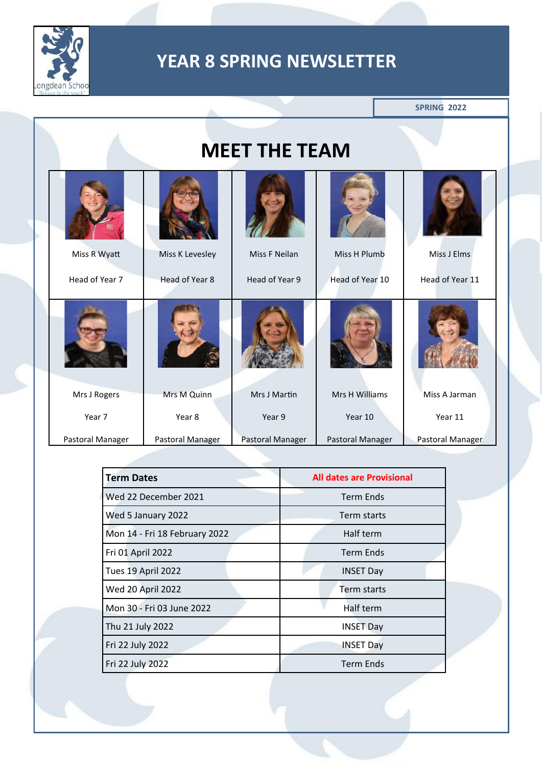

**SPRING 2022**

|                  |                  | <b>MEET THE TEAM</b> |                  |                  |
|------------------|------------------|----------------------|------------------|------------------|
| Miss R Wyatt     | Miss K Levesley  | Miss F Neilan        | Miss H Plumb     | Miss J Elms      |
| Head of Year 7   | Head of Year 8   | Head of Year 9       | Head of Year 10  | Head of Year 11  |
|                  |                  |                      |                  |                  |
| Mrs J Rogers     | Mrs M Quinn      | Mrs J Martin         | Mrs H Williams   | Miss A Jarman    |
| Year 7           | Year 8           | Year 9               | Year 10          | Year 11          |
| Pastoral Manager | Pastoral Manager | Pastoral Manager     | Pastoral Manager | Pastoral Manager |
|                  |                  |                      |                  |                  |

| <b>Term Dates</b>             | <b>All dates are Provisional</b> |
|-------------------------------|----------------------------------|
| Wed 22 December 2021          | <b>Term Ends</b>                 |
| Wed 5 January 2022            | Term starts                      |
| Mon 14 - Fri 18 February 2022 | Half term                        |
| Fri 01 April 2022             | <b>Term Ends</b>                 |
| Tues 19 April 2022            | <b>INSET Day</b>                 |
| Wed 20 April 2022             | Term starts                      |
| Mon 30 - Fri 03 June 2022     | Half term                        |
| Thu 21 July 2022              | <b>INSET Day</b>                 |
| Fri 22 July 2022              | <b>INSET Day</b>                 |
| Fri 22 July 2022              | <b>Term Ends</b>                 |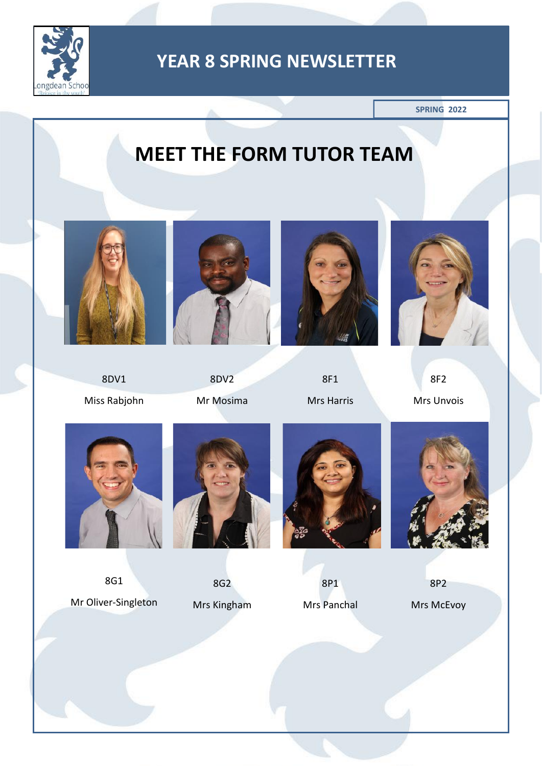

**SPRING 2022**

# **MEET THE FORM TUTOR TEAM**



8DV1 Miss Rabjohn



8DV2 Mr Mosima



8F1 Mrs Harris



8F2 Mrs Unvois



8G1 Mr Oliver-Singleton



8G2 Mrs Kingham



8P1 Mrs Panchal



8P2

Mrs McEvoy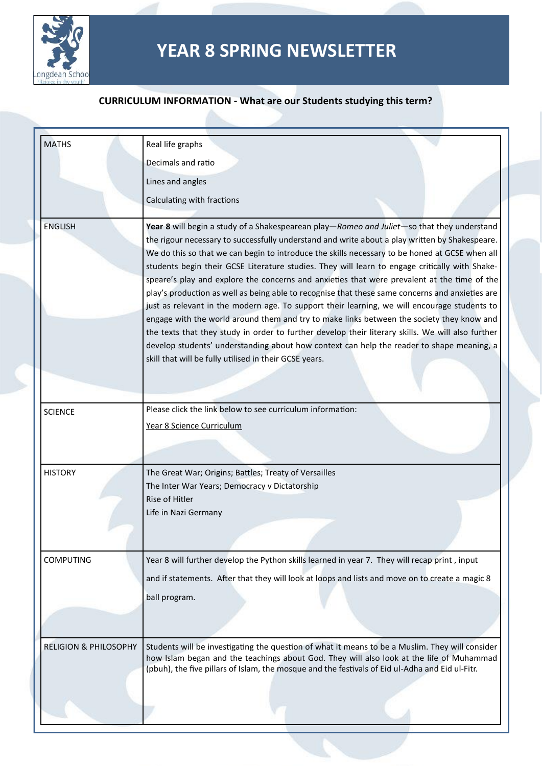

#### **CURRICULUM INFORMATION - What are our Students studying this term?**

| <b>MATHS</b>                     | Real life graphs                                                                                                                                                                                                                                                                                                                                                                                                                                                                                                                                                                                                                                                                                                                                                                                                                                                                                                                                                                                                                                            |
|----------------------------------|-------------------------------------------------------------------------------------------------------------------------------------------------------------------------------------------------------------------------------------------------------------------------------------------------------------------------------------------------------------------------------------------------------------------------------------------------------------------------------------------------------------------------------------------------------------------------------------------------------------------------------------------------------------------------------------------------------------------------------------------------------------------------------------------------------------------------------------------------------------------------------------------------------------------------------------------------------------------------------------------------------------------------------------------------------------|
|                                  | Decimals and ratio                                                                                                                                                                                                                                                                                                                                                                                                                                                                                                                                                                                                                                                                                                                                                                                                                                                                                                                                                                                                                                          |
|                                  | Lines and angles                                                                                                                                                                                                                                                                                                                                                                                                                                                                                                                                                                                                                                                                                                                                                                                                                                                                                                                                                                                                                                            |
|                                  | Calculating with fractions                                                                                                                                                                                                                                                                                                                                                                                                                                                                                                                                                                                                                                                                                                                                                                                                                                                                                                                                                                                                                                  |
| <b>ENGLISH</b>                   | Year 8 will begin a study of a Shakespearean play-Romeo and Juliet-so that they understand<br>the rigour necessary to successfully understand and write about a play written by Shakespeare.<br>We do this so that we can begin to introduce the skills necessary to be honed at GCSE when all<br>students begin their GCSE Literature studies. They will learn to engage critically with Shake-<br>speare's play and explore the concerns and anxieties that were prevalent at the time of the<br>play's production as well as being able to recognise that these same concerns and anxieties are<br>just as relevant in the modern age. To support their learning, we will encourage students to<br>engage with the world around them and try to make links between the society they know and<br>the texts that they study in order to further develop their literary skills. We will also further<br>develop students' understanding about how context can help the reader to shape meaning, a<br>skill that will be fully utilised in their GCSE years. |
| <b>SCIENCE</b>                   | Please click the link below to see curriculum information:<br>Year 8 Science Curriculum                                                                                                                                                                                                                                                                                                                                                                                                                                                                                                                                                                                                                                                                                                                                                                                                                                                                                                                                                                     |
| <b>HISTORY</b>                   | The Great War; Origins; Battles; Treaty of Versailles<br>The Inter War Years; Democracy v Dictatorship<br>Rise of Hitler<br>Life in Nazi Germany                                                                                                                                                                                                                                                                                                                                                                                                                                                                                                                                                                                                                                                                                                                                                                                                                                                                                                            |
| <b>COMPUTING</b>                 | Year 8 will further develop the Python skills learned in year 7. They will recap print, input<br>and if statements. After that they will look at loops and lists and move on to create a magic 8<br>ball program.                                                                                                                                                                                                                                                                                                                                                                                                                                                                                                                                                                                                                                                                                                                                                                                                                                           |
| <b>RELIGION &amp; PHILOSOPHY</b> | Students will be investigating the question of what it means to be a Muslim. They will consider<br>how Islam began and the teachings about God. They will also look at the life of Muhammad<br>(pbuh), the five pillars of Islam, the mosque and the festivals of Eid ul-Adha and Eid ul-Fitr.                                                                                                                                                                                                                                                                                                                                                                                                                                                                                                                                                                                                                                                                                                                                                              |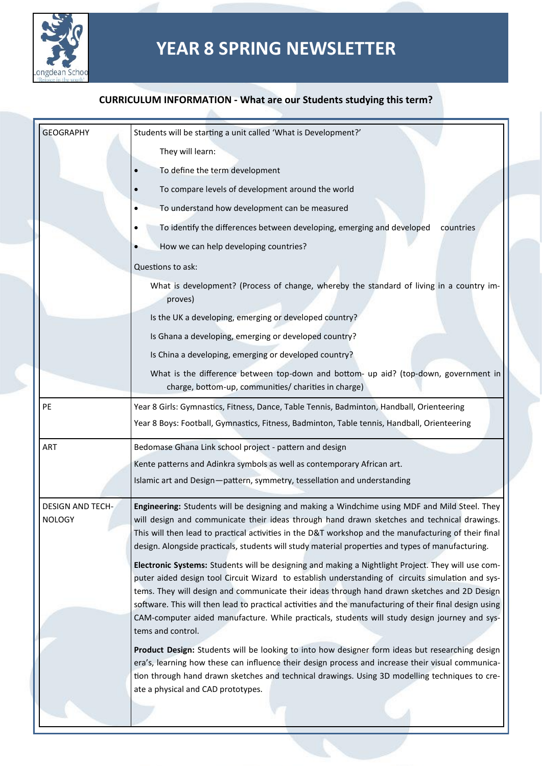

#### **CURRICULUM INFORMATION - What are our Students studying this term?**

| <b>GEOGRAPHY</b>                         | Students will be starting a unit called 'What is Development?'                                                                                                                                                                                                                                                                                                                                                                                                                                                                           |  |  |
|------------------------------------------|------------------------------------------------------------------------------------------------------------------------------------------------------------------------------------------------------------------------------------------------------------------------------------------------------------------------------------------------------------------------------------------------------------------------------------------------------------------------------------------------------------------------------------------|--|--|
|                                          | They will learn:                                                                                                                                                                                                                                                                                                                                                                                                                                                                                                                         |  |  |
|                                          | To define the term development                                                                                                                                                                                                                                                                                                                                                                                                                                                                                                           |  |  |
|                                          | To compare levels of development around the world                                                                                                                                                                                                                                                                                                                                                                                                                                                                                        |  |  |
|                                          | To understand how development can be measured                                                                                                                                                                                                                                                                                                                                                                                                                                                                                            |  |  |
|                                          | To identify the differences between developing, emerging and developed<br>countries                                                                                                                                                                                                                                                                                                                                                                                                                                                      |  |  |
|                                          | How we can help developing countries?                                                                                                                                                                                                                                                                                                                                                                                                                                                                                                    |  |  |
|                                          | Questions to ask:                                                                                                                                                                                                                                                                                                                                                                                                                                                                                                                        |  |  |
|                                          | What is development? (Process of change, whereby the standard of living in a country im-<br>proves)                                                                                                                                                                                                                                                                                                                                                                                                                                      |  |  |
|                                          | Is the UK a developing, emerging or developed country?                                                                                                                                                                                                                                                                                                                                                                                                                                                                                   |  |  |
|                                          | Is Ghana a developing, emerging or developed country?                                                                                                                                                                                                                                                                                                                                                                                                                                                                                    |  |  |
|                                          | Is China a developing, emerging or developed country?                                                                                                                                                                                                                                                                                                                                                                                                                                                                                    |  |  |
|                                          | What is the difference between top-down and bottom- up aid? (top-down, government in<br>charge, bottom-up, communities/ charities in charge)                                                                                                                                                                                                                                                                                                                                                                                             |  |  |
| PE                                       | Year 8 Girls: Gymnastics, Fitness, Dance, Table Tennis, Badminton, Handball, Orienteering                                                                                                                                                                                                                                                                                                                                                                                                                                                |  |  |
|                                          | Year 8 Boys: Football, Gymnastics, Fitness, Badminton, Table tennis, Handball, Orienteering                                                                                                                                                                                                                                                                                                                                                                                                                                              |  |  |
| ART                                      | Bedomase Ghana Link school project - pattern and design                                                                                                                                                                                                                                                                                                                                                                                                                                                                                  |  |  |
|                                          | Kente patterns and Adinkra symbols as well as contemporary African art.                                                                                                                                                                                                                                                                                                                                                                                                                                                                  |  |  |
|                                          | Islamic art and Design-pattern, symmetry, tessellation and understanding                                                                                                                                                                                                                                                                                                                                                                                                                                                                 |  |  |
| <b>DESIGN AND TECH-</b><br><b>NOLOGY</b> | Engineering: Students will be designing and making a Windchime using MDF and Mild Steel. They<br>will design and communicate their ideas through hand drawn sketches and technical drawings.<br>This will then lead to practical activities in the D&T workshop and the manufacturing of their final<br>design. Alongside practicals, students will study material properties and types of manufacturing.                                                                                                                                |  |  |
|                                          | Electronic Systems: Students will be designing and making a Nightlight Project. They will use com-<br>puter aided design tool Circuit Wizard to establish understanding of circuits simulation and sys-<br>tems. They will design and communicate their ideas through hand drawn sketches and 2D Design<br>software. This will then lead to practical activities and the manufacturing of their final design using<br>CAM-computer aided manufacture. While practicals, students will study design journey and sys-<br>tems and control. |  |  |
|                                          | Product Design: Students will be looking to into how designer form ideas but researching design<br>era's, learning how these can influence their design process and increase their visual communica-<br>tion through hand drawn sketches and technical drawings. Using 3D modelling techniques to cre-<br>ate a physical and CAD prototypes.                                                                                                                                                                                             |  |  |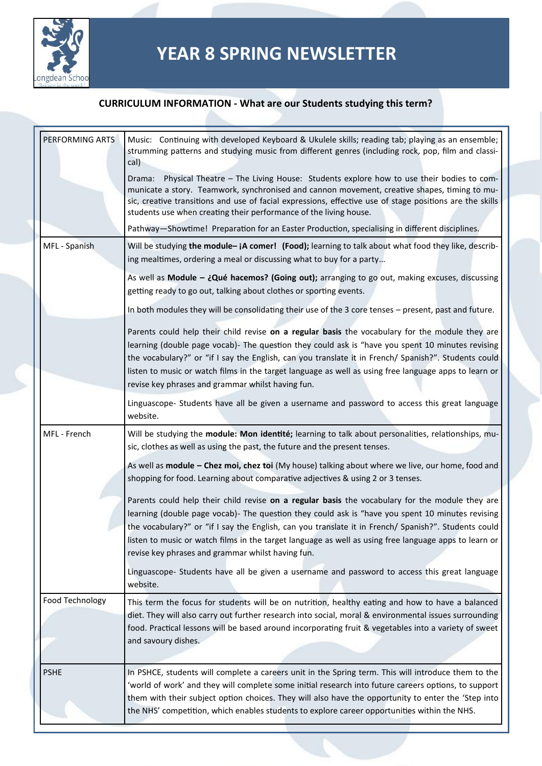

#### **CURRICULUM INFORMATION - What are our Students studying this term?**

| PERFORMING ARTS | Music: Continuing with developed Keyboard & Ukulele skills; reading tab; playing as an ensemble;<br>strumming patterns and studying music from different genres (including rock, pop, film and classi-<br>cal)<br>Drama: Physical Theatre - The Living House: Students explore how to use their bodies to com-<br>municate a story. Teamwork, synchronised and cannon movement, creative shapes, timing to mu-<br>sic, creative transitions and use of facial expressions, effective use of stage positions are the skills<br>students use when creating their performance of the living house. |
|-----------------|-------------------------------------------------------------------------------------------------------------------------------------------------------------------------------------------------------------------------------------------------------------------------------------------------------------------------------------------------------------------------------------------------------------------------------------------------------------------------------------------------------------------------------------------------------------------------------------------------|
|                 | Pathway-Showtime! Preparation for an Easter Production, specialising in different disciplines.                                                                                                                                                                                                                                                                                                                                                                                                                                                                                                  |
| MFL - Spanish   | Will be studying the module- jA comer! (Food); learning to talk about what food they like, describ-<br>ing mealtimes, ordering a meal or discussing what to buy for a party                                                                                                                                                                                                                                                                                                                                                                                                                     |
|                 | As well as Module - ¿Qué hacemos? (Going out); arranging to go out, making excuses, discussing<br>getting ready to go out, talking about clothes or sporting events.                                                                                                                                                                                                                                                                                                                                                                                                                            |
|                 | In both modules they will be consolidating their use of the 3 core tenses - present, past and future.                                                                                                                                                                                                                                                                                                                                                                                                                                                                                           |
|                 | Parents could help their child revise on a regular basis the vocabulary for the module they are<br>learning (double page vocab)- The question they could ask is "have you spent 10 minutes revising<br>the vocabulary?" or "if I say the English, can you translate it in French/ Spanish?". Students could<br>listen to music or watch films in the target language as well as using free language apps to learn or<br>revise key phrases and grammar whilst having fun.                                                                                                                       |
|                 | Linguascope- Students have all be given a username and password to access this great language<br>website.                                                                                                                                                                                                                                                                                                                                                                                                                                                                                       |
| MFL - French    | Will be studying the module: Mon identité; learning to talk about personalities, relationships, mu-<br>sic, clothes as well as using the past, the future and the present tenses.                                                                                                                                                                                                                                                                                                                                                                                                               |
|                 | As well as module - Chez moi, chez toi (My house) talking about where we live, our home, food and<br>shopping for food. Learning about comparative adjectives & using 2 or 3 tenses.                                                                                                                                                                                                                                                                                                                                                                                                            |
|                 | Parents could help their child revise on a regular basis the vocabulary for the module they are<br>learning (double page vocab)- The question they could ask is "have you spent 10 minutes revising<br>the vocabulary?" or "if I say the English, can you translate it in French/ Spanish?". Students could<br>listen to music or watch films in the target language as well as using free language apps to learn or<br>revise key phrases and grammar whilst having fun.                                                                                                                       |
|                 | Linguascope- Students have all be given a username and password to access this great language<br>website.                                                                                                                                                                                                                                                                                                                                                                                                                                                                                       |
| Food Technology | This term the focus for students will be on nutrition, healthy eating and how to have a balanced<br>diet. They will also carry out further research into social, moral & environmental issues surrounding<br>food. Practical lessons will be based around incorporating fruit & vegetables into a variety of sweet<br>and savoury dishes.                                                                                                                                                                                                                                                       |
| <b>PSHE</b>     | In PSHCE, students will complete a careers unit in the Spring term. This will introduce them to the<br>'world of work' and they will complete some initial research into future careers options, to support<br>them with their subject option choices. They will also have the opportunity to enter the 'Step into<br>the NHS' competition, which enables students to explore career opportunities within the NHS.                                                                                                                                                                              |